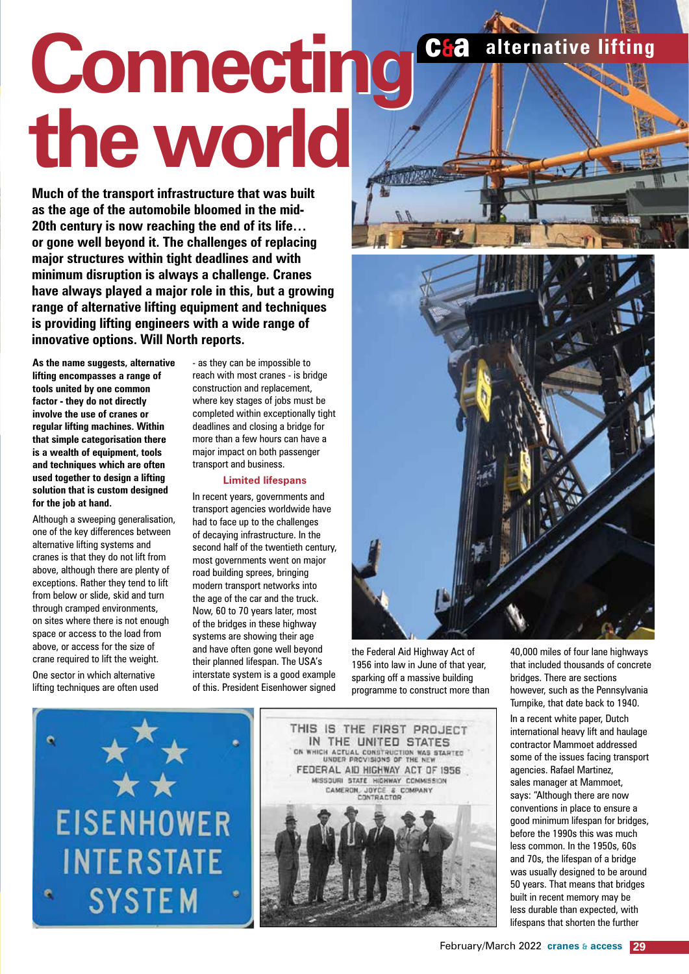# **C&a** alternative lifting **Connecting Connecting the world the world**

**Much of the transport infrastructure that was built as the age of the automobile bloomed in the mid-20th century is now reaching the end of its life… or gone well beyond it. The challenges of replacing major structures within tight deadlines and with minimum disruption is always a challenge. Cranes have always played a major role in this, but a growing range of alternative lifting equipment and techniques is providing lifting engineers with a wide range of innovative options. Will North reports.**

**As the name suggests, alternative lifting encompasses a range of tools united by one common factor - they do not directly involve the use of cranes or regular lifting machines. Within that simple categorisation there is a wealth of equipment, tools and techniques which are often used together to design a lifting solution that is custom designed for the job at hand.** 

Although a sweeping generalisation, one of the key differences between alternative lifting systems and cranes is that they do not lift from above, although there are plenty of exceptions. Rather they tend to lift from below or slide, skid and turn through cramped environments, on sites where there is not enough space or access to the load from above, or access for the size of crane required to lift the weight.

One sector in which alternative lifting techniques are often used - as they can be impossible to reach with most cranes - is bridge construction and replacement, where key stages of jobs must be completed within exceptionally tight deadlines and closing a bridge for more than a few hours can have a major impact on both passenger transport and business.

#### **Limited lifespans**

In recent years, governments and transport agencies worldwide have had to face up to the challenges of decaying infrastructure. In the second half of the twentieth century, most governments went on major road building sprees, bringing modern transport networks into the age of the car and the truck. Now, 60 to 70 years later, most of the bridges in these highway systems are showing their age and have often gone well beyond their planned lifespan. The USA's interstate system is a good example of this. President Eisenhower signed

the Federal Aid Highway Act of 1956 into law in June of that year, sparking off a massive building programme to construct more than 40,000 miles of four lane highways that included thousands of concrete bridges. There are sections however, such as the Pennsylvania Turnpike, that date back to 1940.

**EISENHOWER INTERSTATE SYSTEM** 



In a recent white paper, Dutch international heavy lift and haulage contractor Mammoet addressed some of the issues facing transport agencies. Rafael Martinez, sales manager at Mammoet, says: "Although there are now conventions in place to ensure a good minimum lifespan for bridges, before the 1990s this was much less common. In the 1950s, 60s and 70s, the lifespan of a bridge was usually designed to be around 50 years. That means that bridges built in recent memory may be less durable than expected, with lifespans that shorten the further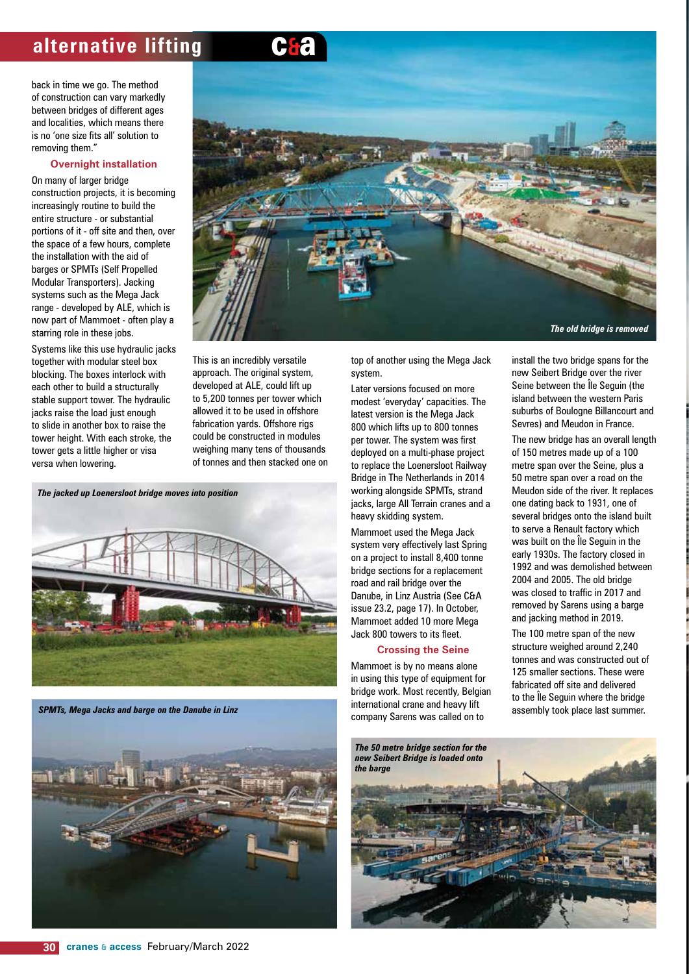back in time we go. The method of construction can vary markedly between bridges of different ages and localities, which means there is no 'one size fits all' solution to removing them."

#### **Overnight installation**

On many of larger bridge construction projects, it is becoming increasingly routine to build the entire structure - or substantial portions of it - off site and then, over the space of a few hours, complete the installation with the aid of barges or SPMTs (Self Propelled Modular Transporters). Jacking systems such as the Mega Jack range - developed by ALE, which is now part of Mammoet - often play a starring role in these jobs.

Systems like this use hydraulic jacks together with modular steel box blocking. The boxes interlock with each other to build a structurally stable support tower. The hydraulic jacks raise the load just enough to slide in another box to raise the tower height. With each stroke, the tower gets a little higher or visa versa when lowering.



This is an incredibly versatile approach. The original system, developed at ALE, could lift up to 5,200 tonnes per tower which allowed it to be used in offshore fabrication yards. Offshore rigs could be constructed in modules weighing many tens of thousands of tonnes and then stacked one on

*The jacked up Loenersloot bridge moves into position*



*SPMTs, Mega Jacks and barge on the Danube in Linz*



top of another using the Mega Jack system.

Later versions focused on more modest 'everyday' capacities. The latest version is the Mega Jack 800 which lifts up to 800 tonnes per tower. The system was first deployed on a multi-phase project to replace the Loenersloot Railway Bridge in The Netherlands in 2014 working alongside SPMTs, strand jacks, large All Terrain cranes and a heavy skidding system.

Mammoet used the Mega Jack system very effectively last Spring on a project to install 8,400 tonne bridge sections for a replacement road and rail bridge over the Danube, in Linz Austria (See C&A issue 23.2, page 17). In October, Mammoet added 10 more Mega Jack 800 towers to its fleet.

#### **Crossing the Seine**

Mammoet is by no means alone in using this type of equipment for bridge work. Most recently, Belgian international crane and heavy lift company Sarens was called on to

install the two bridge spans for the new Seibert Bridge over the river Seine between the Île Seguin (the island between the western Paris suburbs of Boulogne Billancourt and Sevres) and Meudon in France.

The new bridge has an overall length of 150 metres made up of a 100 metre span over the Seine, plus a 50 metre span over a road on the Meudon side of the river. It replaces one dating back to 1931, one of several bridges onto the island built to serve a Renault factory which was built on the Île Seguin in the early 1930s. The factory closed in 1992 and was demolished between 2004 and 2005. The old bridge was closed to traffic in 2017 and removed by Sarens using a barge and jacking method in 2019.

The 100 metre span of the new structure weighed around 2,240 tonnes and was constructed out of 125 smaller sections. These were fabricated off site and delivered to the Île Seguin where the bridge assembly took place last summer.

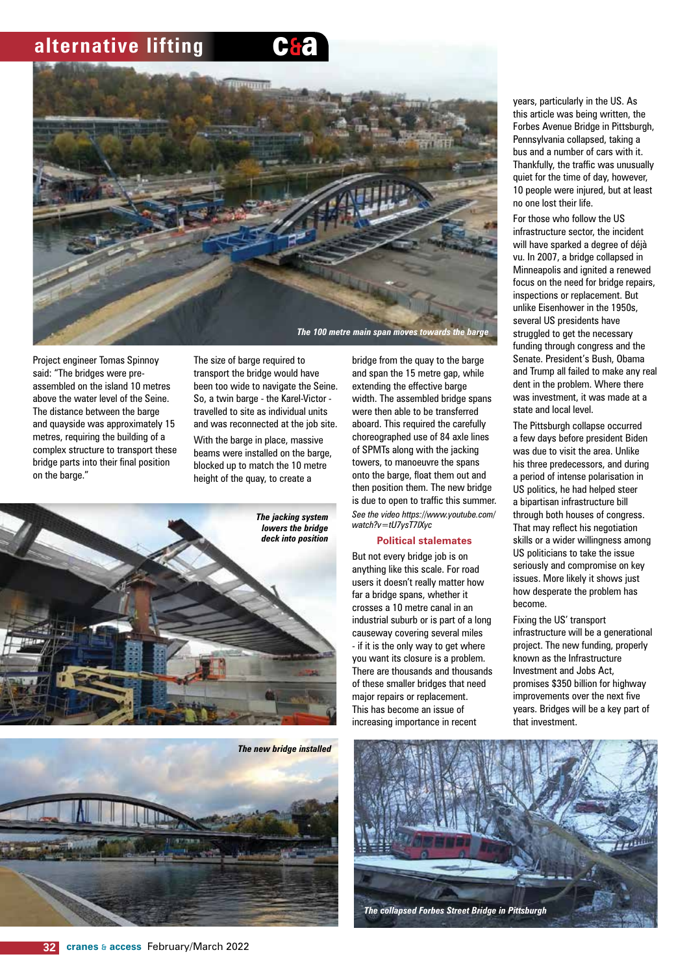

Project engineer Tomas Spinnoy said: "The bridges were preassembled on the island 10 metres above the water level of the Seine. The distance between the barge and quayside was approximately 15 metres, requiring the building of a complex structure to transport these bridge parts into their final position on the barge."

The size of barge required to transport the bridge would have been too wide to navigate the Seine. So, a twin barge - the Karel-Victor travelled to site as individual units and was reconnected at the job site.

With the barge in place, massive beams were installed on the barge, blocked up to match the 10 metre height of the quay, to create a





bridge from the quay to the barge and span the 15 metre gap, while extending the effective barge width. The assembled bridge spans were then able to be transferred aboard. This required the carefully choreographed use of 84 axle lines of SPMTs along with the jacking towers, to manoeuvre the spans onto the barge, float them out and then position them. The new bridge is due to open to traffic this summer. *See the video https://www.youtube.com/ watch?v=tU7ysT7lXyc*

#### **Political stalemates**

But not every bridge job is on anything like this scale. For road users it doesn't really matter how far a bridge spans, whether it crosses a 10 metre canal in an industrial suburb or is part of a long causeway covering several miles - if it is the only way to get where you want its closure is a problem. There are thousands and thousands of these smaller bridges that need major repairs or replacement. This has become an issue of increasing importance in recent

years, particularly in the US. As this article was being written, the Forbes Avenue Bridge in Pittsburgh, Pennsylvania collapsed, taking a bus and a number of cars with it. Thankfully, the traffic was unusually quiet for the time of day, however, 10 people were injured, but at least no one lost their life.

For those who follow the US infrastructure sector, the incident will have sparked a degree of déjà vu. In 2007, a bridge collapsed in Minneapolis and ignited a renewed focus on the need for bridge repairs, inspections or replacement. But unlike Eisenhower in the 1950s, several US presidents have struggled to get the necessary funding through congress and the Senate. President's Bush, Obama and Trump all failed to make any real dent in the problem. Where there was investment, it was made at a state and local level.

The Pittsburgh collapse occurred a few days before president Biden was due to visit the area. Unlike his three predecessors, and during a period of intense polarisation in US politics, he had helped steer a bipartisan infrastructure bill through both houses of congress. That may reflect his negotiation skills or a wider willingness among US politicians to take the issue seriously and compromise on key issues. More likely it shows just how desperate the problem has become.

Fixing the US' transport infrastructure will be a generational project. The new funding, properly known as the Infrastructure Investment and Jobs Act, promises \$350 billion for highway improvements over the next five years. Bridges will be a key part of that investment.

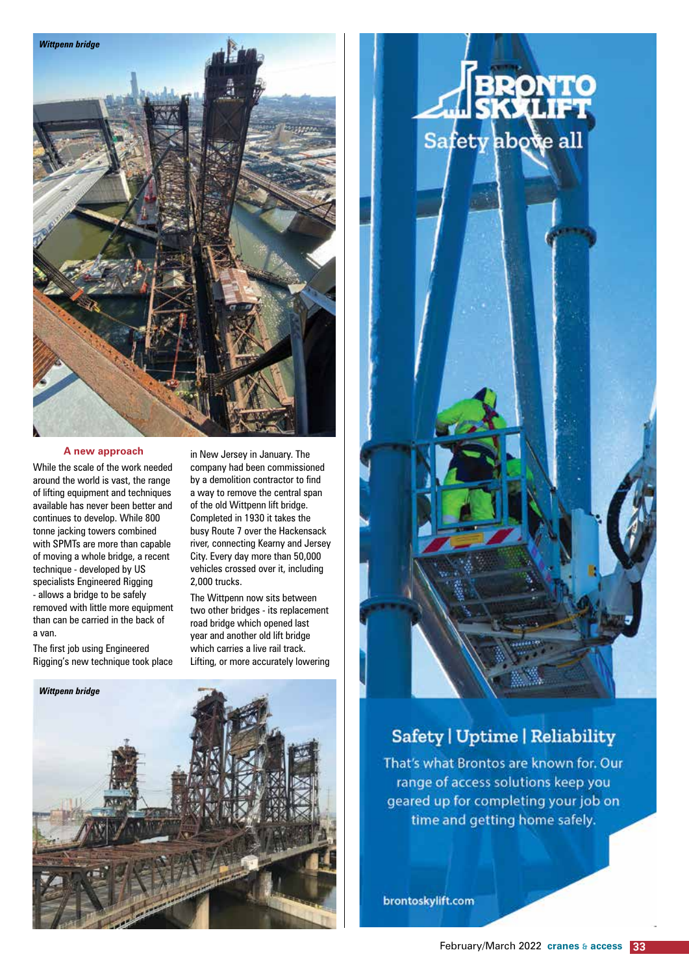

#### **A new approach**

While the scale of the work needed around the world is vast, the range of lifting equipment and techniques available has never been better and continues to develop. While 800 tonne jacking towers combined with SPMTs are more than capable of moving a whole bridge, a recent technique - developed by US specialists Engineered Rigging - allows a bridge to be safely removed with little more equipment than can be carried in the back of a van.

The first job using Engineered Rigging's new technique took place

in New Jersey in January. The company had been commissioned by a demolition contractor to find a way to remove the central span of the old Wittpenn lift bridge. Completed in 1930 it takes the busy Route 7 over the Hackensack river, connecting Kearny and Jersey City. Every day more than 50,000 vehicles crossed over it, including 2,000 trucks.

The Wittpenn now sits between two other bridges - its replacement road bridge which opened last year and another old lift bridge which carries a live rail track. Lifting, or more accurately lowering



# Safety above all

### **Safety | Uptime | Reliability**

That's what Brontos are known for. Our range of access solutions keep you geared up for completing your job on time and getting home safely.

brontoskylift.com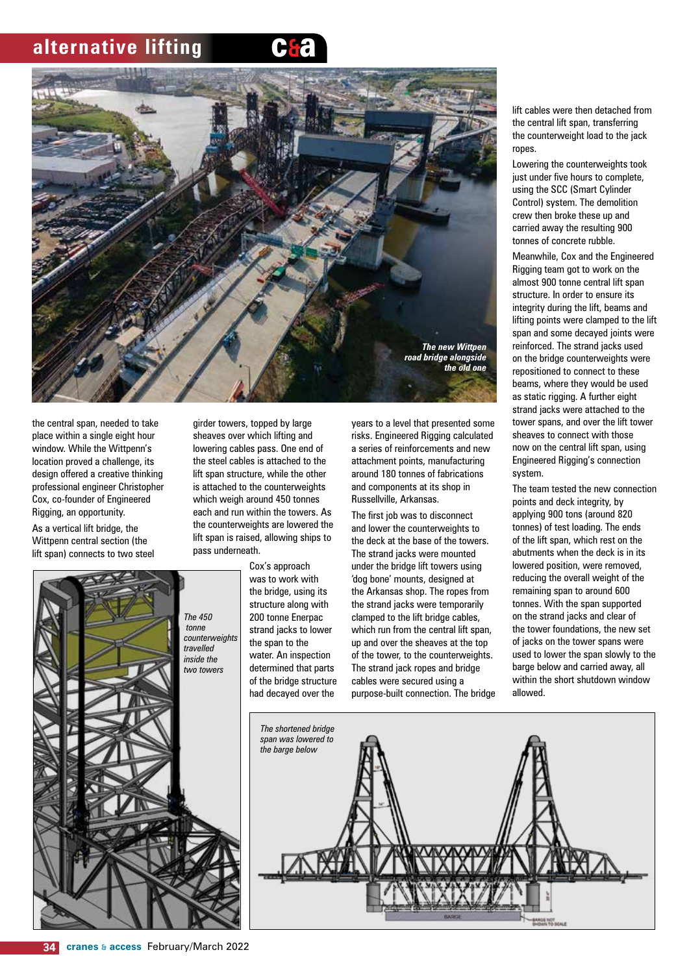



the central span, needed to take place within a single eight hour window. While the Wittpenn's location proved a challenge, its design offered a creative thinking professional engineer Christopher Cox, co-founder of Engineered Rigging, an opportunity.

As a vertical lift bridge, the Wittpenn central section (the lift span) connects to two steel



girder towers, topped by large sheaves over which lifting and lowering cables pass. One end of the steel cables is attached to the lift span structure, while the other is attached to the counterweights which weigh around 450 tonnes each and run within the towers. As the counterweights are lowered the lift span is raised, allowing ships to pass underneath.

> Cox's approach was to work with the bridge, using its structure along with 200 tonne Enerpac strand jacks to lower the span to the water. An inspection determined that parts of the bridge structure had decayed over the

years to a level that presented some risks. Engineered Rigging calculated a series of reinforcements and new attachment points, manufacturing around 180 tonnes of fabrications and components at its shop in Russellville, Arkansas.

The first job was to disconnect and lower the counterweights to the deck at the base of the towers. The strand jacks were mounted under the bridge lift towers using 'dog bone' mounts, designed at the Arkansas shop. The ropes from the strand jacks were temporarily clamped to the lift bridge cables, which run from the central lift span, up and over the sheaves at the top of the tower, to the counterweights. The strand jack ropes and bridge cables were secured using a purpose-built connection. The bridge lift cables were then detached from the central lift span, transferring the counterweight load to the jack ropes.

Lowering the counterweights took just under five hours to complete, using the SCC (Smart Cylinder Control) system. The demolition crew then broke these up and carried away the resulting 900 tonnes of concrete rubble.

Meanwhile, Cox and the Engineered Rigging team got to work on the almost 900 tonne central lift span structure. In order to ensure its integrity during the lift, beams and lifting points were clamped to the lift span and some decayed joints were reinforced. The strand jacks used on the bridge counterweights were repositioned to connect to these beams, where they would be used as static rigging. A further eight strand jacks were attached to the tower spans, and over the lift tower sheaves to connect with those now on the central lift span, using Engineered Rigging's connection system.

The team tested the new connection points and deck integrity, by applying 900 tons (around 820 tonnes) of test loading. The ends of the lift span, which rest on the abutments when the deck is in its lowered position, were removed, reducing the overall weight of the remaining span to around 600 tonnes. With the span supported on the strand jacks and clear of the tower foundations, the new set of jacks on the tower spans were used to lower the span slowly to the barge below and carried away, all within the short shutdown window allowed.

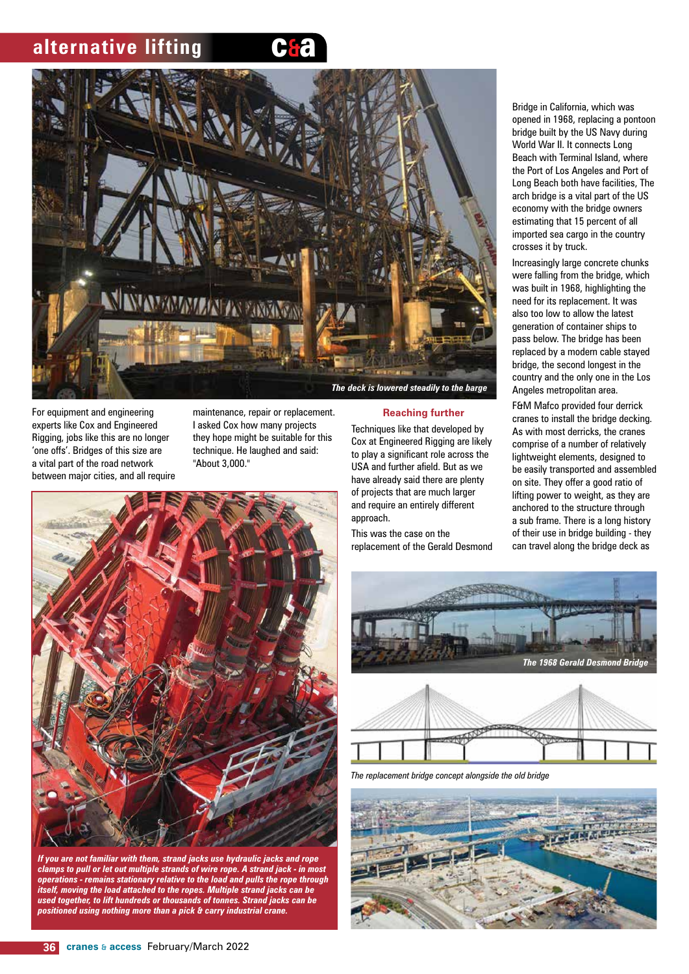



For equipment and engineering experts like Cox and Engineered Rigging, jobs like this are no longer 'one offs'. Bridges of this size are a vital part of the road network between major cities, and all require maintenance, repair or replacement. I asked Cox how many projects they hope might be suitable for this technique. He laughed and said: "About 3,000."



*If you are not familiar with them, strand jacks use hydraulic jacks and rope clamps to pull or let out multiple strands of wire rope. A strand jack - in most operations - remains stationary relative to the load and pulls the rope through itself, moving the load attached to the ropes. Multiple strand jacks can be used together, to lift hundreds or thousands of tonnes. Strand jacks can be positioned using nothing more than a pick & carry industrial crane.*

**Reaching further**

Techniques like that developed by Cox at Engineered Rigging are likely to play a significant role across the USA and further afield. But as we have already said there are plenty of projects that are much larger and require an entirely different approach.

This was the case on the replacement of the Gerald Desmond Bridge in California, which was opened in 1968, replacing a pontoon bridge built by the US Navy during World War II. It connects Long Beach with Terminal Island, where the Port of Los Angeles and Port of Long Beach both have facilities, The arch bridge is a vital part of the US economy with the bridge owners estimating that 15 percent of all imported sea cargo in the country crosses it by truck.

Increasingly large concrete chunks were falling from the bridge, which was built in 1968, highlighting the need for its replacement. It was also too low to allow the latest generation of container ships to pass below. The bridge has been replaced by a modern cable stayed bridge, the second longest in the country and the only one in the Los Angeles metropolitan area.

F&M Mafco provided four derrick cranes to install the bridge decking. As with most derricks, the cranes comprise of a number of relatively lightweight elements, designed to be easily transported and assembled on site. They offer a good ratio of lifting power to weight, as they are anchored to the structure through a sub frame. There is a long history of their use in bridge building - they can travel along the bridge deck as



*The replacement bridge concept alongside the old bridge*